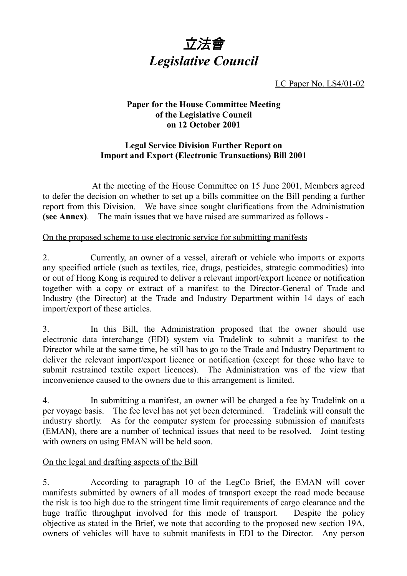

LC Paper No. LS4/01-02

## **Paper for the House Committee Meeting of the Legislative Council on 12 October 2001**

## **Legal Service Division Further Report on Import and Export (Electronic Transactions) Bill 2001**

At the meeting of the House Committee on 15 June 2001, Members agreed to defer the decision on whether to set up a bills committee on the Bill pending a further report from this Division. We have since sought clarifications from the Administration **(see Annex)**. The main issues that we have raised are summarized as follows -

## On the proposed scheme to use electronic service for submitting manifests

2. Currently, an owner of a vessel, aircraft or vehicle who imports or exports any specified article (such as textiles, rice, drugs, pesticides, strategic commodities) into or out of Hong Kong is required to deliver a relevant import/export licence or notification together with a copy or extract of a manifest to the Director-General of Trade and Industry (the Director) at the Trade and Industry Department within 14 days of each import/export of these articles.

3. In this Bill, the Administration proposed that the owner should use electronic data interchange (EDI) system via Tradelink to submit a manifest to the Director while at the same time, he still has to go to the Trade and Industry Department to deliver the relevant import/export licence or notification (except for those who have to submit restrained textile export licences). The Administration was of the view that inconvenience caused to the owners due to this arrangement is limited.

4. In submitting a manifest, an owner will be charged a fee by Tradelink on a per voyage basis. The fee level has not yet been determined. Tradelink will consult the industry shortly. As for the computer system for processing submission of manifests (EMAN), there are a number of technical issues that need to be resolved. Joint testing with owners on using EMAN will be held soon.

## On the legal and drafting aspects of the Bill

5. According to paragraph 10 of the LegCo Brief, the EMAN will cover manifests submitted by owners of all modes of transport except the road mode because the risk is too high due to the stringent time limit requirements of cargo clearance and the huge traffic throughput involved for this mode of transport. Despite the policy objective as stated in the Brief, we note that according to the proposed new section 19A, owners of vehicles will have to submit manifests in EDI to the Director. Any person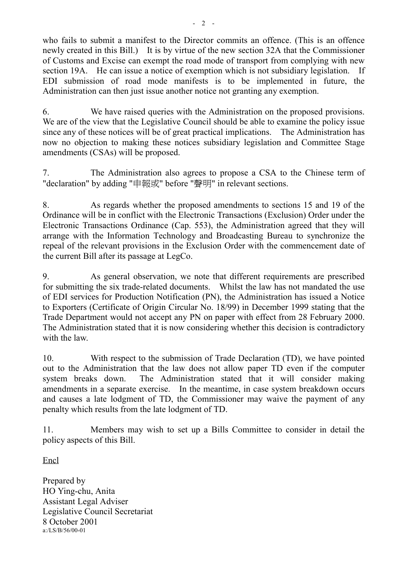who fails to submit a manifest to the Director commits an offence. (This is an offence newly created in this Bill.) It is by virtue of the new section 32A that the Commissioner of Customs and Excise can exempt the road mode of transport from complying with new section 19A. He can issue a notice of exemption which is not subsidiary legislation. If EDI submission of road mode manifests is to be implemented in future, the Administration can then just issue another notice not granting any exemption.

6. We have raised queries with the Administration on the proposed provisions. We are of the view that the Legislative Council should be able to examine the policy issue since any of these notices will be of great practical implications. The Administration has now no objection to making these notices subsidiary legislation and Committee Stage amendments (CSAs) will be proposed.

7. The Administration also agrees to propose a CSA to the Chinese term of "declaration" by adding "申報或" before "聲明" in relevant sections.

8. As regards whether the proposed amendments to sections 15 and 19 of the Ordinance will be in conflict with the Electronic Transactions (Exclusion) Order under the Electronic Transactions Ordinance (Cap. 553), the Administration agreed that they will arrange with the Information Technology and Broadcasting Bureau to synchronize the repeal of the relevant provisions in the Exclusion Order with the commencement date of the current Bill after its passage at LegCo.

9. As general observation, we note that different requirements are prescribed for submitting the six trade-related documents. Whilst the law has not mandated the use of EDI services for Production Notification (PN), the Administration has issued a Notice to Exporters (Certificate of Origin Circular No. 18/99) in December 1999 stating that the Trade Department would not accept any PN on paper with effect from 28 February 2000. The Administration stated that it is now considering whether this decision is contradictory with the law.

10. With respect to the submission of Trade Declaration (TD), we have pointed out to the Administration that the law does not allow paper TD even if the computer system breaks down. The Administration stated that it will consider making amendments in a separate exercise. In the meantime, in case system breakdown occurs and causes a late lodgment of TD, the Commissioner may waive the payment of any penalty which results from the late lodgment of TD.

11. Members may wish to set up a Bills Committee to consider in detail the policy aspects of this Bill.

Encl

Prepared by HO Ying-chu, Anita Assistant Legal Adviser Legislative Council Secretariat 8 October 2001 a:/LS/B/56/00-01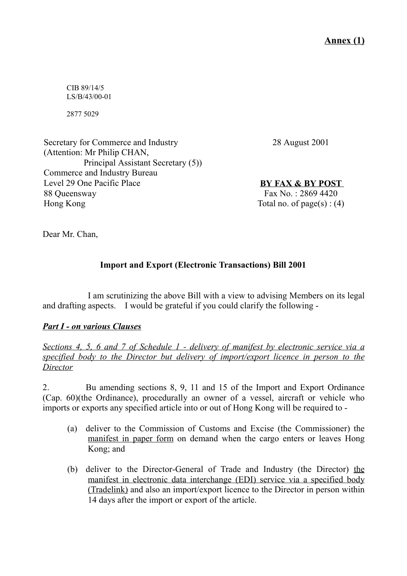**Annex (1)**

CIB 89/14/5 LS/B/43/00-01

2877 5029

Secretary for Commerce and Industry (Attention: Mr Philip CHAN, Principal Assistant Secretary (5)) Commerce and Industry Bureau Level 29 One Pacific Place 88 Queensway Hong Kong

28 August 2001

**BY FAX & BY POST** Fax No. : 2869 4420 Total no. of page(s) :  $(4)$ 

Dear Mr. Chan,

# **Import and Export (Electronic Transactions) Bill 2001**

I am scrutinizing the above Bill with a view to advising Members on its legal and drafting aspects. I would be grateful if you could clarify the following -

## *Part I - on various Clauses*

*Sections 4, 5, 6 and 7 of Schedule 1 - delivery of manifest by electronic service via a specified body to the Director but delivery of import/export licence in person to the Director*

2. Bu amending sections 8, 9, 11 and 15 of the Import and Export Ordinance (Cap. 60)(the Ordinance), procedurally an owner of a vessel, aircraft or vehicle who imports or exports any specified article into or out of Hong Kong will be required to -

- (a) deliver to the Commission of Customs and Excise (the Commissioner) the manifest in paper form on demand when the cargo enters or leaves Hong Kong; and
- (b) deliver to the Director-General of Trade and Industry (the Director) the manifest in electronic data interchange (EDI) service via a specified body (Tradelink) and also an import/export licence to the Director in person within 14 days after the import or export of the article.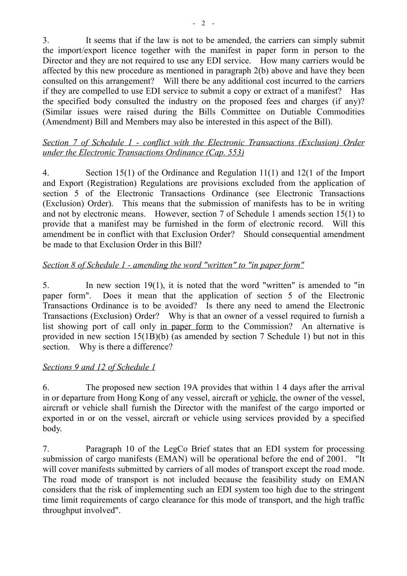3. It seems that if the law is not to be amended, the carriers can simply submit the import/export licence together with the manifest in paper form in person to the Director and they are not required to use any EDI service. How many carriers would be affected by this new procedure as mentioned in paragraph 2(b) above and have they been consulted on this arrangement? Will there be any additional cost incurred to the carriers if they are compelled to use EDI service to submit a copy or extract of a manifest? Has the specified body consulted the industry on the proposed fees and charges (if any)? (Similar issues were raised during the Bills Committee on Dutiable Commodities (Amendment) Bill and Members may also be interested in this aspect of the Bill).

## *Section 7 of Schedule 1 - conflict with the Electronic Transactions (Exclusion) Order under the Electronic Transactions Ordinance (Cap. 553)*

4. Section 15(1) of the Ordinance and Regulation 11(1) and 12(1 of the Import and Export (Registration) Regulations are provisions excluded from the application of section 5 of the Electronic Transactions Ordinance (see Electronic Transactions (Exclusion) Order). This means that the submission of manifests has to be in writing and not by electronic means. However, section 7 of Schedule 1 amends section 15(1) to provide that a manifest may be furnished in the form of electronic record. Will this amendment be in conflict with that Exclusion Order? Should consequential amendment be made to that Exclusion Order in this Bill?

## *Section 8 of Schedule 1 - amending the word "written" to "in paper form"*

5. In new section 19(1), it is noted that the word "written" is amended to "in paper form". Does it mean that the application of section 5 of the Electronic Transactions Ordinance is to be avoided? Is there any need to amend the Electronic Transactions (Exclusion) Order? Why is that an owner of a vessel required to furnish a list showing port of call only in paper form to the Commission? An alternative is provided in new section 15(1B)(b) (as amended by section 7 Schedule 1) but not in this section. Why is there a difference?

## *Sections 9 and 12 of Schedule 1*

6. The proposed new section 19A provides that within 1 4 days after the arrival in or departure from Hong Kong of any vessel, aircraft or vehicle, the owner of the vessel, aircraft or vehicle shall furnish the Director with the manifest of the cargo imported or exported in or on the vessel, aircraft or vehicle using services provided by a specified body.

7. Paragraph 10 of the LegCo Brief states that an EDI system for processing submission of cargo manifests (EMAN) will be operational before the end of 2001. "It will cover manifests submitted by carriers of all modes of transport except the road mode. The road mode of transport is not included because the feasibility study on EMAN considers that the risk of implementing such an EDI system too high due to the stringent time limit requirements of cargo clearance for this mode of transport, and the high traffic throughput involved".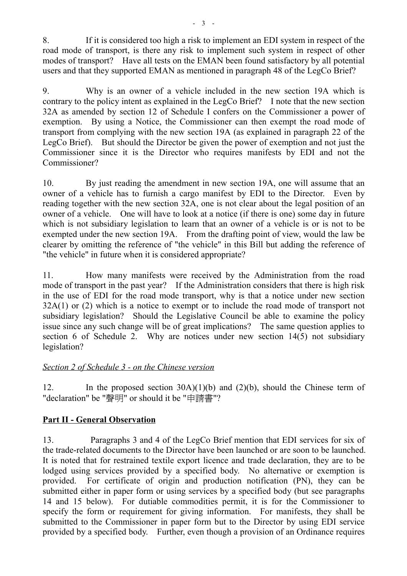8. If it is considered too high a risk to implement an EDI system in respect of the road mode of transport, is there any risk to implement such system in respect of other modes of transport? Have all tests on the EMAN been found satisfactory by all potential users and that they supported EMAN as mentioned in paragraph 48 of the LegCo Brief?

9. Why is an owner of a vehicle included in the new section 19A which is contrary to the policy intent as explained in the LegCo Brief? I note that the new section 32A as amended by section 12 of Schedule I confers on the Commissioner a power of exemption. By using a Notice, the Commissioner can then exempt the road mode of transport from complying with the new section 19A (as explained in paragraph 22 of the LegCo Brief). But should the Director be given the power of exemption and not just the Commissioner since it is the Director who requires manifests by EDI and not the Commissioner?

10. By just reading the amendment in new section 19A, one will assume that an owner of a vehicle has to furnish a cargo manifest by EDI to the Director. Even by reading together with the new section 32A, one is not clear about the legal position of an owner of a vehicle. One will have to look at a notice (if there is one) some day in future which is not subsidiary legislation to learn that an owner of a vehicle is or is not to be exempted under the new section 19A. From the drafting point of view, would the law be clearer by omitting the reference of "the vehicle" in this Bill but adding the reference of "the vehicle" in future when it is considered appropriate?

11. How many manifests were received by the Administration from the road mode of transport in the past year? If the Administration considers that there is high risk in the use of EDI for the road mode transport, why is that a notice under new section 32A(1) or (2) which is a notice to exempt or to include the road mode of transport not subsidiary legislation? Should the Legislative Council be able to examine the policy issue since any such change will be of great implications? The same question applies to section 6 of Schedule 2. Why are notices under new section 14(5) not subsidiary legislation?

## *Section 2 of Schedule 3 - on the Chinese version*

12. In the proposed section 30A)(1)(b) and (2)(b), should the Chinese term of "declaration" be "聲明" or should it be "申請書"?

## **Part II - General Observation**

13. Paragraphs 3 and 4 of the LegCo Brief mention that EDI services for six of the trade-related documents to the Director have been launched or are soon to be launched. It is noted that for restrained textile export licence and trade declaration, they are to be lodged using services provided by a specified body. No alternative or exemption is provided. For certificate of origin and production notification (PN), they can be submitted either in paper form or using services by a specified body (but see paragraphs 14 and 15 below). For dutiable commodities permit, it is for the Commissioner to specify the form or requirement for giving information. For manifests, they shall be submitted to the Commissioner in paper form but to the Director by using EDI service provided by a specified body. Further, even though a provision of an Ordinance requires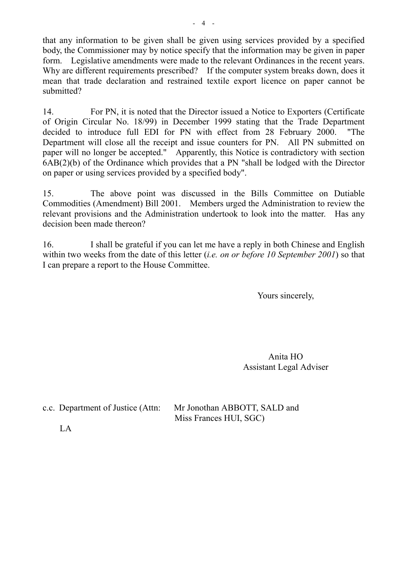that any information to be given shall be given using services provided by a specified body, the Commissioner may by notice specify that the information may be given in paper form. Legislative amendments were made to the relevant Ordinances in the recent years. Why are different requirements prescribed? If the computer system breaks down, does it mean that trade declaration and restrained textile export licence on paper cannot be submitted?

14. For PN, it is noted that the Director issued a Notice to Exporters (Certificate of Origin Circular No. 18/99) in December 1999 stating that the Trade Department decided to introduce full EDI for PN with effect from 28 February 2000. "The Department will close all the receipt and issue counters for PN. All PN submitted on paper will no longer be accepted." Apparently, this Notice is contradictory with section 6AB(2)(b) of the Ordinance which provides that a PN "shall be lodged with the Director on paper or using services provided by a specified body".

15. The above point was discussed in the Bills Committee on Dutiable Commodities (Amendment) Bill 2001. Members urged the Administration to review the relevant provisions and the Administration undertook to look into the matter. Has any decision been made thereon?

16. I shall be grateful if you can let me have a reply in both Chinese and English within two weeks from the date of this letter (*i.e. on or before 10 September 2001*) so that I can prepare a report to the House Committee.

Yours sincerely,

Anita HO Assistant Legal Adviser

c.c. Department of Justice (Attn: Mr Jonothan ABBOTT, SALD and Miss Frances HUI, SGC)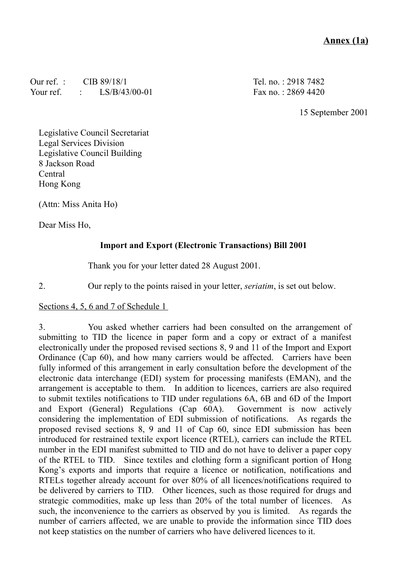## **Annex (1a)**

Our ref. : CIB 89/18/1 Your ref. : LS/B/43/00-01 Tel. no. : 2918 7482 Fax no. : 2869 4420

15 September 2001

Legislative Council Secretariat Legal Services Division Legislative Council Building 8 Jackson Road Central Hong Kong

(Attn: Miss Anita Ho)

Dear Miss Ho,

### **Import and Export (Electronic Transactions) Bill 2001**

Thank you for your letter dated 28 August 2001.

2. Our reply to the points raised in your letter, *seriatim*, is set out below.

### Sections 4, 5, 6 and 7 of Schedule 1

3. You asked whether carriers had been consulted on the arrangement of submitting to TID the licence in paper form and a copy or extract of a manifest electronically under the proposed revised sections 8, 9 and 11 of the Import and Export Ordinance (Cap 60), and how many carriers would be affected. Carriers have been fully informed of this arrangement in early consultation before the development of the electronic data interchange (EDI) system for processing manifests (EMAN), and the arrangement is acceptable to them. In addition to licences, carriers are also required to submit textiles notifications to TID under regulations 6A, 6B and 6D of the Import and Export (General) Regulations (Cap 60A). Government is now actively considering the implementation of EDI submission of notifications. As regards the proposed revised sections 8, 9 and 11 of Cap 60, since EDI submission has been introduced for restrained textile export licence (RTEL), carriers can include the RTEL number in the EDI manifest submitted to TID and do not have to deliver a paper copy of the RTEL to TID. Since textiles and clothing form a significant portion of Hong Kong's exports and imports that require a licence or notification, notifications and RTELs together already account for over 80% of all licences/notifications required to be delivered by carriers to TID. Other licences, such as those required for drugs and strategic commodities, make up less than 20% of the total number of licences. As such, the inconvenience to the carriers as observed by you is limited. As regards the number of carriers affected, we are unable to provide the information since TID does not keep statistics on the number of carriers who have delivered licences to it.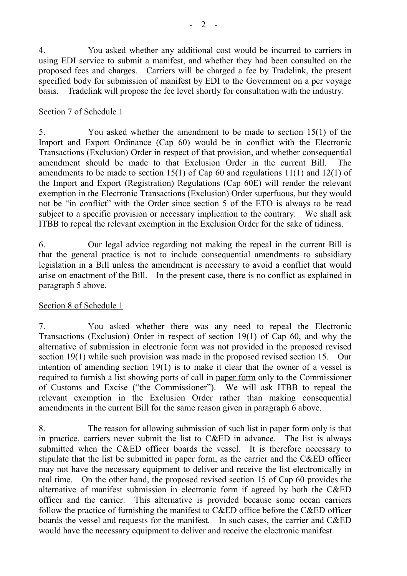4. You asked whether any additional cost would be incurred to carriers in using EDI service to submit a manifest, and whether they had been consulted on the proposed fees and charges. Carriers will be charged a fee by Tradelink, the present specified body for submission of manifest by EDI to the Government on a per voyage basis. Tradelink will propose the fee level shortly for consultation with the industry.

### Section 7 of Schedule 1

5. You asked whether the amendment to be made to section 15(1) of the Import and Export Ordinance (Cap 60) would be in conflict with the Electronic Transactions (Exclusion) Order in respect of that provision, and whether consequential amendment should be made to that Exclusion Order in the current Bill. The amendments to be made to section 15(1) of Cap 60 and regulations  $11(1)$  and  $12(1)$  of the Import and Export (Registration) Regulations (Cap 60E) will render the relevant exemption in the Electronic Transactions (Exclusion) Order superfuous, but they would not be "in conflict" with the Order since section 5 of the ETO is always to be read subject to a specific provision or necessary implication to the contrary. We shall ask ITBB to repeal the relevant exemption in the Exclusion Order for the sake of tidiness.

6. Our legal advice regarding not making the repeal in the current Bill is that the general practice is not to include consequential amendments to subsidiary legislation in a Bill unless the amendment is necessary to avoid a conflict that would arise on enactment of the Bill. In the present case, there is no conflict as explained in paragraph 5 above.

## Section 8 of Schedule 1

7. You asked whether there was any need to repeal the Electronic Transactions (Exclusion) Order in respect of section 19(1) of Cap 60, and why the alternative of submission in electronic form was not provided in the proposed revised section 19(1) while such provision was made in the proposed revised section 15. Our intention of amending section 19(1) is to make it clear that the owner of a vessel is required to furnish a list showing ports of call in paper form only to the Commissioner of Customs and Excise ("the Commissioner"). We will ask ITBB to repeal the relevant exemption in the Exclusion Order rather than making consequential amendments in the current Bill for the same reason given in paragraph 6 above.

8. The reason for allowing submission of such list in paper form only is that in practice, carriers never submit the list to C&ED in advance. The list is always submitted when the C&ED officer boards the vessel. It is therefore necessary to stipulate that the list be submitted in paper form, as the carrier and the C&ED officer may not have the necessary equipment to deliver and receive the list electronically in real time. On the other hand, the proposed revised section 15 of Cap 60 provides the alternative of manifest submission in electronic form if agreed by both the C&ED officer and the carrier. This alternative is provided because some ocean carriers follow the practice of furnishing the manifest to C&ED office before the C&ED officer boards the vessel and requests for the manifest. In such cases, the carrier and C&ED would have the necessary equipment to deliver and receive the electronic manifest.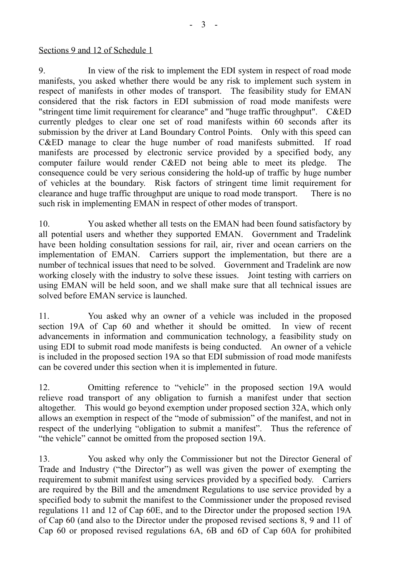#### Sections 9 and 12 of Schedule 1

9. In view of the risk to implement the EDI system in respect of road mode manifests, you asked whether there would be any risk to implement such system in respect of manifests in other modes of transport. The feasibility study for EMAN considered that the risk factors in EDI submission of road mode manifests were "stringent time limit requirement for clearance" and "huge traffic throughput". C&ED currently pledges to clear one set of road manifests within 60 seconds after its submission by the driver at Land Boundary Control Points. Only with this speed can C&ED manage to clear the huge number of road manifests submitted. If road manifests are processed by electronic service provided by a specified body, any computer failure would render C&ED not being able to meet its pledge. The consequence could be very serious considering the hold-up of traffic by huge number of vehicles at the boundary. Risk factors of stringent time limit requirement for clearance and huge traffic throughput are unique to road mode transport. There is no such risk in implementing EMAN in respect of other modes of transport.

10. You asked whether all tests on the EMAN had been found satisfactory by all potential users and whether they supported EMAN. Government and Tradelink have been holding consultation sessions for rail, air, river and ocean carriers on the implementation of EMAN. Carriers support the implementation, but there are a number of technical issues that need to be solved. Government and Tradelink are now working closely with the industry to solve these issues. Joint testing with carriers on using EMAN will be held soon, and we shall make sure that all technical issues are solved before EMAN service is launched.

11. You asked why an owner of a vehicle was included in the proposed section 19A of Cap 60 and whether it should be omitted. In view of recent advancements in information and communication technology, a feasibility study on using EDI to submit road mode manifests is being conducted. An owner of a vehicle is included in the proposed section 19A so that EDI submission of road mode manifests can be covered under this section when it is implemented in future.

12. Omitting reference to "vehicle" in the proposed section 19A would relieve road transport of any obligation to furnish a manifest under that section altogether. This would go beyond exemption under proposed section 32A, which only allows an exemption in respect of the "mode of submission" of the manifest, and not in respect of the underlying "obligation to submit a manifest". Thus the reference of "the vehicle" cannot be omitted from the proposed section 19A.

13. You asked why only the Commissioner but not the Director General of Trade and Industry ("the Director") as well was given the power of exempting the requirement to submit manifest using services provided by a specified body. Carriers are required by the Bill and the amendment Regulations to use service provided by a specified body to submit the manifest to the Commissioner under the proposed revised regulations 11 and 12 of Cap 60E, and to the Director under the proposed section 19A of Cap 60 (and also to the Director under the proposed revised sections 8, 9 and 11 of Cap 60 or proposed revised regulations 6A, 6B and 6D of Cap 60A for prohibited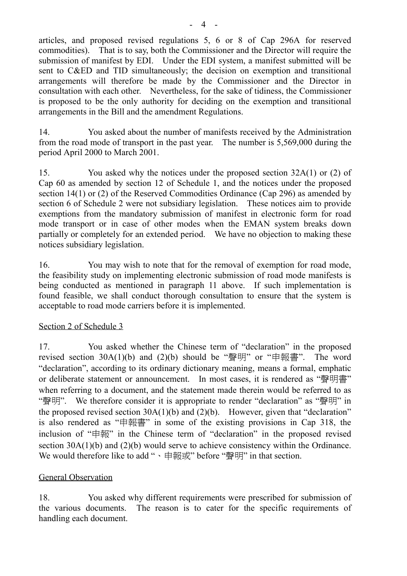articles, and proposed revised regulations 5, 6 or 8 of Cap 296A for reserved commodities). That is to say, both the Commissioner and the Director will require the submission of manifest by EDI. Under the EDI system, a manifest submitted will be sent to C&ED and TID simultaneously; the decision on exemption and transitional arrangements will therefore be made by the Commissioner and the Director in consultation with each other. Nevertheless, for the sake of tidiness, the Commissioner is proposed to be the only authority for deciding on the exemption and transitional arrangements in the Bill and the amendment Regulations.

14. You asked about the number of manifests received by the Administration from the road mode of transport in the past year. The number is 5,569,000 during the period April 2000 to March 2001.

15. You asked why the notices under the proposed section 32A(1) or (2) of Cap 60 as amended by section 12 of Schedule 1, and the notices under the proposed section 14(1) or (2) of the Reserved Commodities Ordinance (Cap 296) as amended by section 6 of Schedule 2 were not subsidiary legislation. These notices aim to provide exemptions from the mandatory submission of manifest in electronic form for road mode transport or in case of other modes when the EMAN system breaks down partially or completely for an extended period. We have no objection to making these notices subsidiary legislation.

16. You may wish to note that for the removal of exemption for road mode, the feasibility study on implementing electronic submission of road mode manifests is being conducted as mentioned in paragraph 11 above. If such implementation is found feasible, we shall conduct thorough consultation to ensure that the system is acceptable to road mode carriers before it is implemented.

## Section 2 of Schedule 3

17. You asked whether the Chinese term of "declaration" in the proposed revised section 30A(1)(b) and (2)(b) should be "聲明" or "申報書". The word "declaration", according to its ordinary dictionary meaning, means a formal, emphatic or deliberate statement or announcement. In most cases, it is rendered as "聲明書" when referring to a document, and the statement made therein would be referred to as "聲明". We therefore consider it is appropriate to render "declaration" as "聲明" in the proposed revised section  $30A(1)(b)$  and  $(2)(b)$ . However, given that "declaration" is also rendered as "申報書" in some of the existing provisions in Cap 318, the inclusion of "申報" in the Chinese term of "declaration" in the proposed revised section 30A(1)(b) and (2)(b) would serve to achieve consistency within the Ordinance. We would therefore like to add "、申報或" before "聲明" in that section.

## General Observation

18. You asked why different requirements were prescribed for submission of the various documents. The reason is to cater for the specific requirements of handling each document.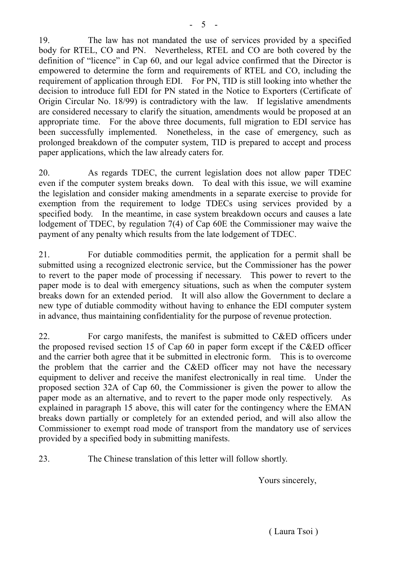19. The law has not mandated the use of services provided by a specified body for RTEL, CO and PN. Nevertheless, RTEL and CO are both covered by the definition of "licence" in Cap 60, and our legal advice confirmed that the Director is empowered to determine the form and requirements of RTEL and CO, including the requirement of application through EDI. For PN, TID is still looking into whether the decision to introduce full EDI for PN stated in the Notice to Exporters (Certificate of Origin Circular No. 18/99) is contradictory with the law. If legislative amendments are considered necessary to clarify the situation, amendments would be proposed at an appropriate time. For the above three documents, full migration to EDI service has been successfully implemented. Nonetheless, in the case of emergency, such as prolonged breakdown of the computer system, TID is prepared to accept and process paper applications, which the law already caters for.

20. As regards TDEC, the current legislation does not allow paper TDEC even if the computer system breaks down. To deal with this issue, we will examine the legislation and consider making amendments in a separate exercise to provide for exemption from the requirement to lodge TDECs using services provided by a specified body. In the meantime, in case system breakdown occurs and causes a late lodgement of TDEC, by regulation 7(4) of Cap 60E the Commissioner may waive the payment of any penalty which results from the late lodgement of TDEC.

21. For dutiable commodities permit, the application for a permit shall be submitted using a recognized electronic service, but the Commissioner has the power to revert to the paper mode of processing if necessary. This power to revert to the paper mode is to deal with emergency situations, such as when the computer system breaks down for an extended period. It will also allow the Government to declare a new type of dutiable commodity without having to enhance the EDI computer system in advance, thus maintaining confidentiality for the purpose of revenue protection.

22. For cargo manifests, the manifest is submitted to C&ED officers under the proposed revised section 15 of Cap 60 in paper form except if the C&ED officer and the carrier both agree that it be submitted in electronic form. This is to overcome the problem that the carrier and the C&ED officer may not have the necessary equipment to deliver and receive the manifest electronically in real time. Under the proposed section 32A of Cap 60, the Commissioner is given the power to allow the paper mode as an alternative, and to revert to the paper mode only respectively. As explained in paragraph 15 above, this will cater for the contingency where the EMAN breaks down partially or completely for an extended period, and will also allow the Commissioner to exempt road mode of transport from the mandatory use of services provided by a specified body in submitting manifests.

23. The Chinese translation of this letter will follow shortly.

Yours sincerely,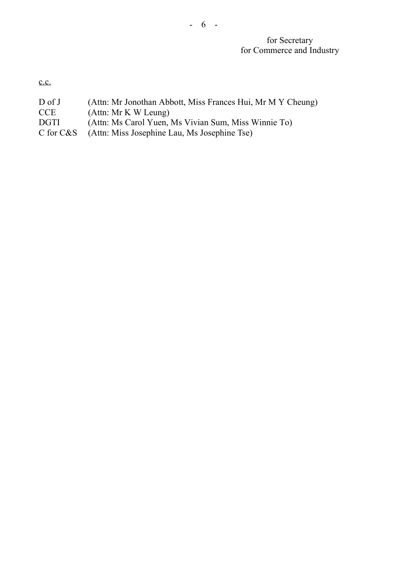## for Secretary for Commerce and Industry

c.c.

D of J (Attn: Mr Jonothan Abbott, Miss Frances Hui, Mr M Y Cheung)<br>CCE (Attn: Mr K W Leung)

- 6 -

- CCE (Attn: Mr K W Leung)<br>DGTI (Attn: Ms Carol Yuen, l
- DGTI (Attn: Ms Carol Yuen, Ms Vivian Sum, Miss Winnie To)<br>C for C&S (Attn: Miss Josephine Lau, Ms Josephine Tse)
- (Attn: Miss Josephine Lau, Ms Josephine Tse)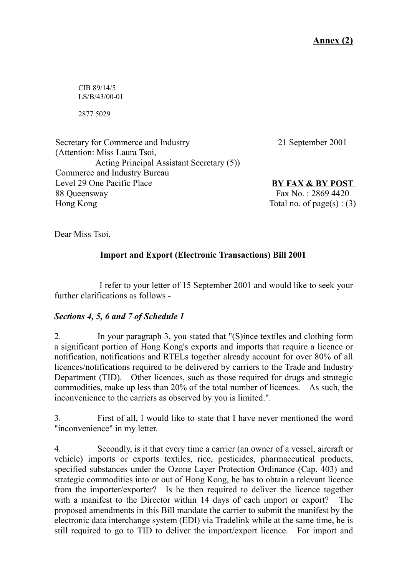**Annex (2)**

CIB 89/14/5 LS/B/43/00-01

2877 5029

Secretary for Commerce and Industry (Attention: Miss Laura Tsoi, Acting Principal Assistant Secretary (5)) Commerce and Industry Bureau Level 29 One Pacific Place 88 Queensway Hong Kong

21 September 2001

**BY FAX & BY POST** Fax No. : 2869 4420 Total no. of page(s) :  $(3)$ 

Dear Miss Tsoi,

# **Import and Export (Electronic Transactions) Bill 2001**

I refer to your letter of 15 September 2001 and would like to seek your further clarifications as follows -

## *Sections 4, 5, 6 and 7 of Schedule 1*

2. In your paragraph 3, you stated that "(S)ince textiles and clothing form a significant portion of Hong Kong's exports and imports that require a licence or notification, notifications and RTELs together already account for over 80% of all licences/notifications required to be delivered by carriers to the Trade and Industry Department (TID). Other licences, such as those required for drugs and strategic commodities, make up less than 20% of the total number of licences. As such, the inconvenience to the carriers as observed by you is limited.".

3. First of all, I would like to state that I have never mentioned the word "inconvenience" in my letter.

4. Secondly, is it that every time a carrier (an owner of a vessel, aircraft or vehicle) imports or exports textiles, rice, pesticides, pharmaceutical products, specified substances under the Ozone Layer Protection Ordinance (Cap. 403) and strategic commodities into or out of Hong Kong, he has to obtain a relevant licence from the importer/exporter? Is he then required to deliver the licence together with a manifest to the Director within 14 days of each import or export? The proposed amendments in this Bill mandate the carrier to submit the manifest by the electronic data interchange system (EDI) via Tradelink while at the same time, he is still required to go to TID to deliver the import/export licence. For import and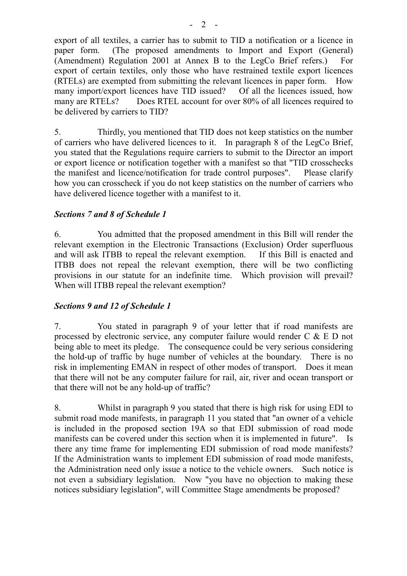export of all textiles, a carrier has to submit to TID a notification or a licence in paper form. (The proposed amendments to Import and Export (General) (Amendment) Regulation 2001 at Annex B to the LegCo Brief refers.) For export of certain textiles, only those who have restrained textile export licences (RTELs) are exempted from submitting the relevant licences in paper form. How many import/export licences have TID issued? Of all the licences issued, how many are RTELs? Does RTEL account for over 80% of all licences required to be delivered by carriers to TID?

5. Thirdly, you mentioned that TID does not keep statistics on the number of carriers who have delivered licences to it. In paragraph 8 of the LegCo Brief, you stated that the Regulations require carriers to submit to the Director an import or export licence or notification together with a manifest so that "TID crosschecks the manifest and licence/notification for trade control purposes". Please clarify how you can crosscheck if you do not keep statistics on the number of carriers who have delivered licence together with a manifest to it.

## *Sections 7 and 8 of Schedule 1*

6. You admitted that the proposed amendment in this Bill will render the relevant exemption in the Electronic Transactions (Exclusion) Order superfluous and will ask ITBB to repeal the relevant exemption. If this Bill is enacted and ITBB does not repeal the relevant exemption, there will be two conflicting provisions in our statute for an indefinite time. Which provision will prevail? When will ITBB repeal the relevant exemption?

## *Sections 9 and 12 of Schedule 1*

7. You stated in paragraph 9 of your letter that if road manifests are processed by electronic service, any computer failure would render C & E D not being able to meet its pledge. The consequence could be very serious considering the hold-up of traffic by huge number of vehicles at the boundary. There is no risk in implementing EMAN in respect of other modes of transport. Does it mean that there will not be any computer failure for rail, air, river and ocean transport or that there will not be any hold-up of traffic?

8. Whilst in paragraph 9 you stated that there is high risk for using EDI to submit road mode manifests, in paragraph 11 you stated that "an owner of a vehicle is included in the proposed section 19A so that EDI submission of road mode manifests can be covered under this section when it is implemented in future". Is there any time frame for implementing EDI submission of road mode manifests? If the Administration wants to implement EDI submission of road mode manifests, the Administration need only issue a notice to the vehicle owners. Such notice is not even a subsidiary legislation. Now "you have no objection to making these notices subsidiary legislation", will Committee Stage amendments be proposed?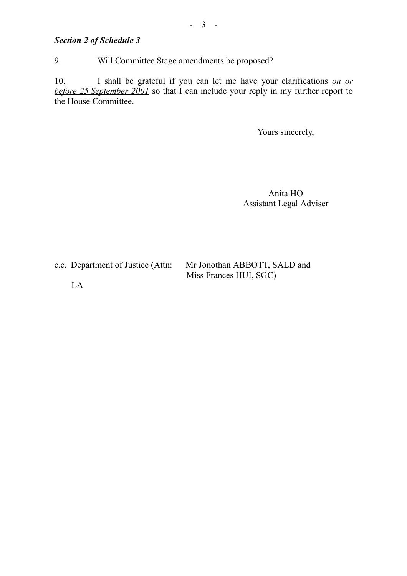# *Section 2 of Schedule 3*

9. Will Committee Stage amendments be proposed?

10. I shall be grateful if you can let me have your clarifications *on or before 25 September 2001* so that I can include your reply in my further report to the House Committee.

Yours sincerely,

Anita HO Assistant Legal Adviser

| c.c. Department of Justice (Attn: | Mr Jonothan ABBOTT, SALD and |
|-----------------------------------|------------------------------|
|                                   | Miss Frances HUI, SGC)       |

LA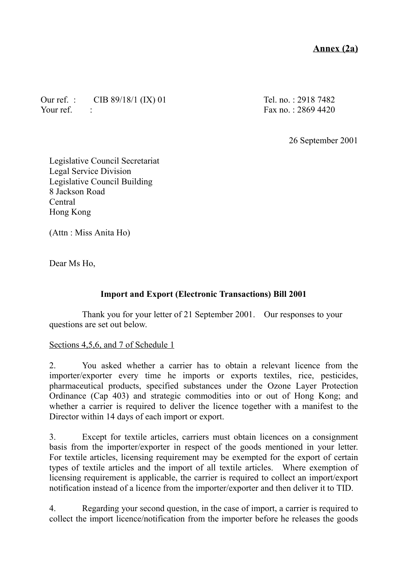# **Annex (2a)**

Our ref. : CIB 89/18/1 (IX) 01 Your ref.

Tel. no. : 2918 7482 Fax no. : 2869 4420

26 September 2001

Legislative Council Secretariat Legal Service Division Legislative Council Building 8 Jackson Road Central Hong Kong

(Attn : Miss Anita Ho)

Dear Ms Ho,

## **Import and Export (Electronic Transactions) Bill 2001**

Thank you for your letter of 21 September 2001. Our responses to your questions are set out below.

### Sections 4,5,6, and 7 of Schedule 1

2. You asked whether a carrier has to obtain a relevant licence from the importer/exporter every time he imports or exports textiles, rice, pesticides, pharmaceutical products, specified substances under the Ozone Layer Protection Ordinance (Cap 403) and strategic commodities into or out of Hong Kong; and whether a carrier is required to deliver the licence together with a manifest to the Director within 14 days of each import or export.

3. Except for textile articles, carriers must obtain licences on a consignment basis from the importer/exporter in respect of the goods mentioned in your letter. For textile articles, licensing requirement may be exempted for the export of certain types of textile articles and the import of all textile articles. Where exemption of licensing requirement is applicable, the carrier is required to collect an import/export notification instead of a licence from the importer/exporter and then deliver it to TID.

4. Regarding your second question, in the case of import, a carrier is required to collect the import licence/notification from the importer before he releases the goods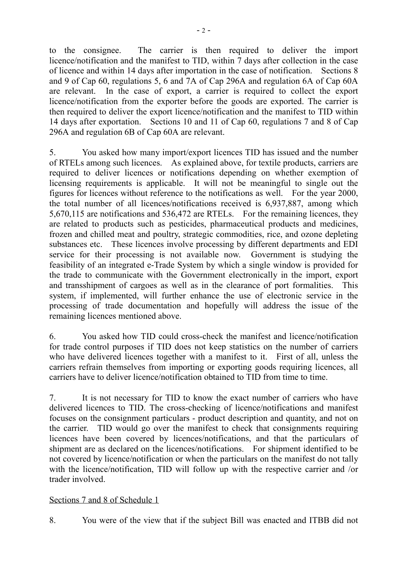to the consignee. The carrier is then required to deliver the import licence/notification and the manifest to TID, within 7 days after collection in the case of licence and within 14 days after importation in the case of notification. Sections 8 and 9 of Cap 60, regulations 5, 6 and 7A of Cap 296A and regulation 6A of Cap 60A are relevant. In the case of export, a carrier is required to collect the export licence/notification from the exporter before the goods are exported. The carrier is then required to deliver the export licence/notification and the manifest to TID within 14 days after exportation. Sections 10 and 11 of Cap 60, regulations 7 and 8 of Cap 296A and regulation 6B of Cap 60A are relevant.

5. You asked how many import/export licences TID has issued and the number of RTELs among such licences. As explained above, for textile products, carriers are required to deliver licences or notifications depending on whether exemption of licensing requirements is applicable. It will not be meaningful to single out the figures for licences without reference to the notifications as well. For the year 2000, the total number of all licences/notifications received is 6,937,887, among which 5,670,115 are notifications and 536,472 are RTELs. For the remaining licences, they are related to products such as pesticides, pharmaceutical products and medicines, frozen and chilled meat and poultry, strategic commodities, rice, and ozone depleting substances etc. These licences involve processing by different departments and EDI service for their processing is not available now. Government is studying the feasibility of an integrated e-Trade System by which a single window is provided for the trade to communicate with the Government electronically in the import, export and transshipment of cargoes as well as in the clearance of port formalities. This system, if implemented, will further enhance the use of electronic service in the processing of trade documentation and hopefully will address the issue of the remaining licences mentioned above.

6. You asked how TID could cross-check the manifest and licence/notification for trade control purposes if TID does not keep statistics on the number of carriers who have delivered licences together with a manifest to it. First of all, unless the carriers refrain themselves from importing or exporting goods requiring licences, all carriers have to deliver licence/notification obtained to TID from time to time.

7. It is not necessary for TID to know the exact number of carriers who have delivered licences to TID. The cross-checking of licence/notifications and manifest focuses on the consignment particulars - product description and quantity, and not on the carrier. TID would go over the manifest to check that consignments requiring licences have been covered by licences/notifications, and that the particulars of shipment are as declared on the licences/notifications. For shipment identified to be not covered by licence/notification or when the particulars on the manifest do not tally with the licence/notification, TID will follow up with the respective carrier and /or trader involved.

## Sections 7 and 8 of Schedule 1

8. You were of the view that if the subject Bill was enacted and ITBB did not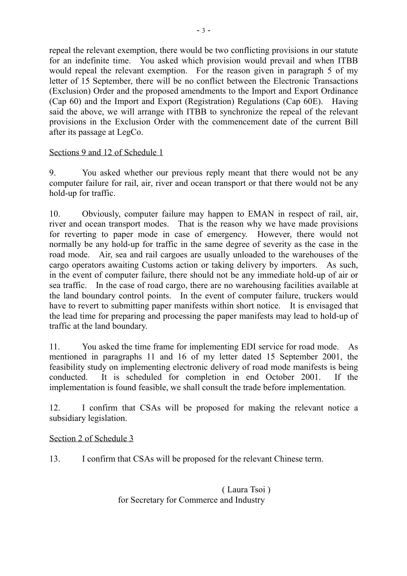repeal the relevant exemption, there would be two conflicting provisions in our statute for an indefinite time. You asked which provision would prevail and when ITBB would repeal the relevant exemption. For the reason given in paragraph 5 of my letter of 15 September, there will be no conflict between the Electronic Transactions (Exclusion) Order and the proposed amendments to the Import and Export Ordinance (Cap 60) and the Import and Export (Registration) Regulations (Cap 60E). Having said the above, we will arrange with ITBB to synchronize the repeal of the relevant provisions in the Exclusion Order with the commencement date of the current Bill after its passage at LegCo.

### Sections 9 and 12 of Schedule 1

9. You asked whether our previous reply meant that there would not be any computer failure for rail, air, river and ocean transport or that there would not be any hold-up for traffic.

10. Obviously, computer failure may happen to EMAN in respect of rail, air, river and ocean transport modes. That is the reason why we have made provisions for reverting to paper mode in case of emergency. However, there would not normally be any hold-up for traffic in the same degree of severity as the case in the road mode. Air, sea and rail cargoes are usually unloaded to the warehouses of the cargo operators awaiting Customs action or taking delivery by importers. As such, in the event of computer failure, there should not be any immediate hold-up of air or sea traffic. In the case of road cargo, there are no warehousing facilities available at the land boundary control points. In the event of computer failure, truckers would have to revert to submitting paper manifests within short notice. It is envisaged that the lead time for preparing and processing the paper manifests may lead to hold-up of traffic at the land boundary.

11. You asked the time frame for implementing EDI service for road mode. As mentioned in paragraphs 11 and 16 of my letter dated 15 September 2001, the feasibility study on implementing electronic delivery of road mode manifests is being conducted. It is scheduled for completion in end October 2001. If the implementation is found feasible, we shall consult the trade before implementation.

12. I confirm that CSAs will be proposed for making the relevant notice a subsidiary legislation.

Section 2 of Schedule 3

13. I confirm that CSAs will be proposed for the relevant Chinese term.

( Laura Tsoi ) for Secretary for Commerce and Industry